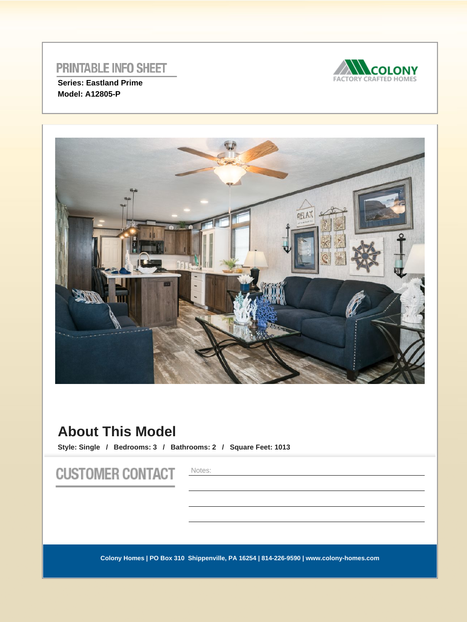

**Series: Eastland Prime Model: A12805-P** 



# **About This Model**

**Style: Single / Bedrooms: 3 / Bathrooms: 2 / Square Feet: 1013**

**CUSTOMER CONTACT** 

Notes: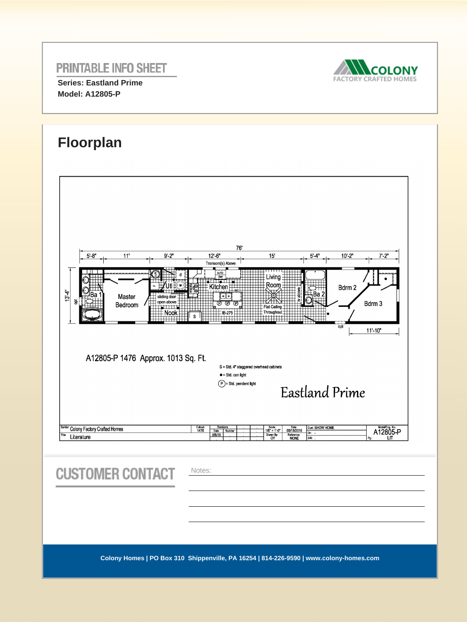

**Series: Eastland Prime Model: A12805-P** 





| <b>CUSTOMER CONTACT</b> | Notes:                                                                                 |
|-------------------------|----------------------------------------------------------------------------------------|
|                         |                                                                                        |
|                         |                                                                                        |
|                         |                                                                                        |
|                         | Colony Homes   PO Box 310 Shippenville, PA 16254   814-226-9590   www.colony-homes.com |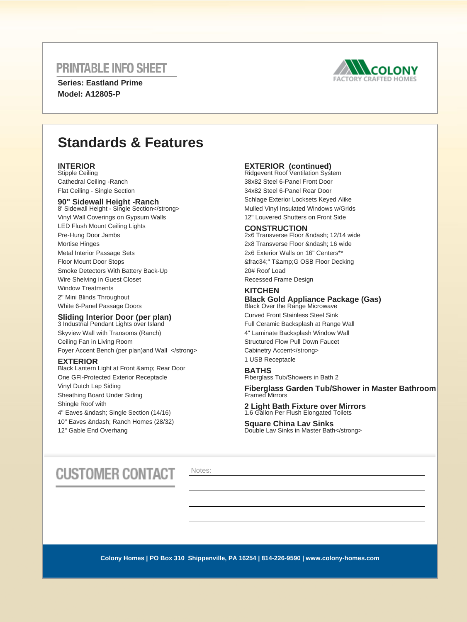**Series: Eastland Prime Model: A12805-P** 



# **Standards & Features**

### **INTERIOR**

Stipple Ceiling Cathedral Ceiling -Ranch Flat Ceiling - Single Section

#### **90" Sidewall Height -Ranch**

8' Sidewall Height - Single Section</strong> Vinyl Wall Coverings on Gypsum Walls LED Flush Mount Ceiling Lights Pre-Hung Door Jambs Mortise Hinges Metal Interior Passage Sets Floor Mount Door Stops Smoke Detectors With Battery Back-Up Wire Shelving in Guest Closet Window Treatments 2" Mini Blinds Throughout White 6-Panel Passage Doors

### **Sliding Interior Door (per plan)**<br>3 Industrial Pendant Lights over Island

Skyview Wall with Transoms (Ranch) Ceiling Fan in Living Room Foyer Accent Bench (per plan)and Wall </strong>

#### **EXTERIOR**

Black Lantern Light at Front & amp; Rear Door One GFI-Protected Exterior Receptacle Vinyl Dutch Lap Siding Sheathing Board Under Siding Shingle Roof with 4" Eaves & ndash; Single Section (14/16) 10" Eaves – Ranch Homes (28/32) 12" Gable End Overhang

## **EXTERIOR (continued)**<br>Ridgevent Roof Ventilation System

38x82 Steel 6-Panel Front Door 34x82 Steel 6-Panel Rear Door Schlage Exterior Locksets Keyed Alike Mulled Vinyl Insulated Windows w/Grids 12" Louvered Shutters on Front Side

### **CONSTRUCTION**

2x6 Transverse Floor – 12/14 wide 2x8 Transverse Floor – 16 wide 2x6 Exterior Walls on 16" Centers\*\* &frac34:" T&amp:G OSB Floor Decking 20# Roof Load Recessed Frame Design

### **KITCHEN**

#### **Black Gold Appliance Package (Gas)** Black Over the Range Microwave

Curved Front Stainless Steel Sink Full Ceramic Backsplash at Range Wall 4" Laminate Backsplash Window Wall Structured Flow Pull Down Faucet Cabinetry Accent</strong> 1 USB Receptacle

#### **BATHS**

Fiberglass Tub/Showers in Bath 2

**Fiberglass Garden Tub/Shower in Master Bathroom**  Framed Mirrors

#### **2 Light Bath Fixture over Mirrors** 1.6 Gallon Per Flush Elongated Toilets

**Square China Lav Sinks** Double Lav Sinks in Master Bath</strong>

# **CUSTOMER CONTACT**

Notes: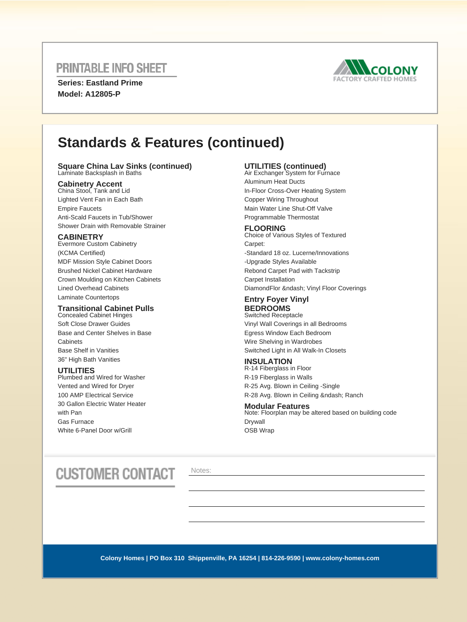**Series: Eastland Prime Model: A12805-P** 



# **Standards & Features (continued)**

## **Square China Lav Sinks (continued)** Laminate Backsplash in Baths

**Cabinetry Accent** China Stool, Tank and Lid Lighted Vent Fan in Each Bath Empire Faucets Anti-Scald Faucets in Tub/Shower Shower Drain with Removable Strainer

### **CABINETRY**

Evermore Custom Cabinetry (KCMA Certified) MDF Mission Style Cabinet Doors Brushed Nickel Cabinet Hardware Crown Moulding on Kitchen Cabinets Lined Overhead Cabinets Laminate Countertops

### **Transitional Cabinet Pulls**

Concealed Cabinet Hinges Soft Close Drawer Guides Base and Center Shelves in Base **Cabinets** Base Shelf in Vanities 36" High Bath Vanities

### **UTILITIES**

Plumbed and Wired for Washer Vented and Wired for Dryer 100 AMP Electrical Service 30 Gallon Electric Water Heater with Pan Gas Furnace White 6-Panel Door w/Grill

## **UTILITIES (continued)** Air Exchanger System for Furnace

Aluminum Heat Ducts In-Floor Cross-Over Heating System Copper Wiring Throughout Main Water Line Shut-Off Valve Programmable Thermostat

### **FLOORING**

Choice of Various Styles of Textured Carpet: -Standard 18 oz. Lucerne/Innovations -Upgrade Styles Available Rebond Carpet Pad with Tackstrip Carpet Installation DiamondFlor – Vinyl Floor Coverings

### **Entry Foyer Vinyl**

**BEDROOMS** Switched Receptacle Vinyl Wall Coverings in all Bedrooms Egress Window Each Bedroom Wire Shelving in Wardrobes Switched Light in All Walk-In Closets

### **INSULATION**

R-14 Fiberglass in Floor R-19 Fiberglass in Walls R-25 Avg. Blown in Ceiling -Single R-28 Avg. Blown in Ceiling – Ranch

#### **Modular Features**

Note: Floorplan may be altered based on building code Drywall OSB Wrap

# **CUSTOMER CONTACT**

Notes: